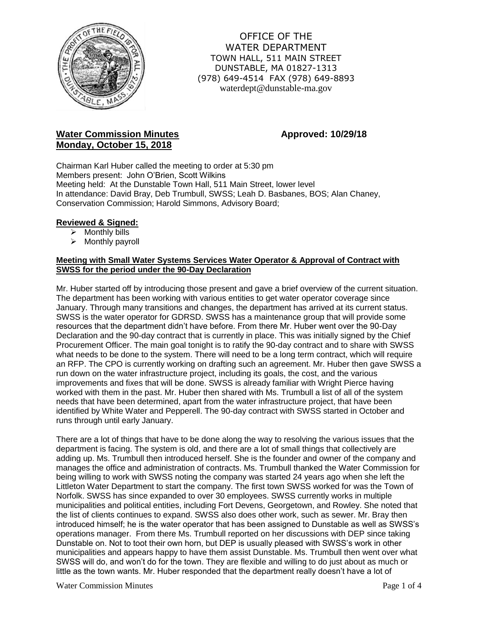

OFFICE OF THE WATER DEPARTMENT TOWN HALL, 511 MAIN STREET DUNSTABLE, MA 01827-1313 (978) 649-4514 FAX (978) 649-8893 waterdept@dunstable-ma.gov

# **Water Commission Minutes <b>Approved:** 10/29/18 **Monday, October 15, 2018**

Chairman Karl Huber called the meeting to order at 5:30 pm Members present: John O'Brien, Scott Wilkins Meeting held: At the Dunstable Town Hall, 511 Main Street, lower level In attendance: David Bray, Deb Trumbull, SWSS; Leah D. Basbanes, BOS; Alan Chaney, Conservation Commission; Harold Simmons, Advisory Board;

# **Reviewed & Signed:**

- $\triangleright$  Monthly bills
- $\triangleright$  Monthly payroll

# **Meeting with Small Water Systems Services Water Operator & Approval of Contract with SWSS for the period under the 90-Day Declaration**

Mr. Huber started off by introducing those present and gave a brief overview of the current situation. The department has been working with various entities to get water operator coverage since January. Through many transitions and changes, the department has arrived at its current status. SWSS is the water operator for GDRSD. SWSS has a maintenance group that will provide some resources that the department didn't have before. From there Mr. Huber went over the 90-Day Declaration and the 90-day contract that is currently in place. This was initially signed by the Chief Procurement Officer. The main goal tonight is to ratify the 90-day contract and to share with SWSS what needs to be done to the system. There will need to be a long term contract, which will require an RFP. The CPO is currently working on drafting such an agreement. Mr. Huber then gave SWSS a run down on the water infrastructure project, including its goals, the cost, and the various improvements and fixes that will be done. SWSS is already familiar with Wright Pierce having worked with them in the past. Mr. Huber then shared with Ms. Trumbull a list of all of the system needs that have been determined, apart from the water infrastructure project, that have been identified by White Water and Pepperell. The 90-day contract with SWSS started in October and runs through until early January.

There are a lot of things that have to be done along the way to resolving the various issues that the department is facing. The system is old, and there are a lot of small things that collectively are adding up. Ms. Trumbull then introduced herself. She is the founder and owner of the company and manages the office and administration of contracts. Ms. Trumbull thanked the Water Commission for being willing to work with SWSS noting the company was started 24 years ago when she left the Littleton Water Department to start the company. The first town SWSS worked for was the Town of Norfolk. SWSS has since expanded to over 30 employees. SWSS currently works in multiple municipalities and political entities, including Fort Devens, Georgetown, and Rowley. She noted that the list of clients continues to expand. SWSS also does other work, such as sewer. Mr. Bray then introduced himself; he is the water operator that has been assigned to Dunstable as well as SWSS's operations manager. From there Ms. Trumbull reported on her discussions with DEP since taking Dunstable on. Not to toot their own horn, but DEP is usually pleased with SWSS's work in other municipalities and appears happy to have them assist Dunstable. Ms. Trumbull then went over what SWSS will do, and won't do for the town. They are flexible and willing to do just about as much or little as the town wants. Mr. Huber responded that the department really doesn't have a lot of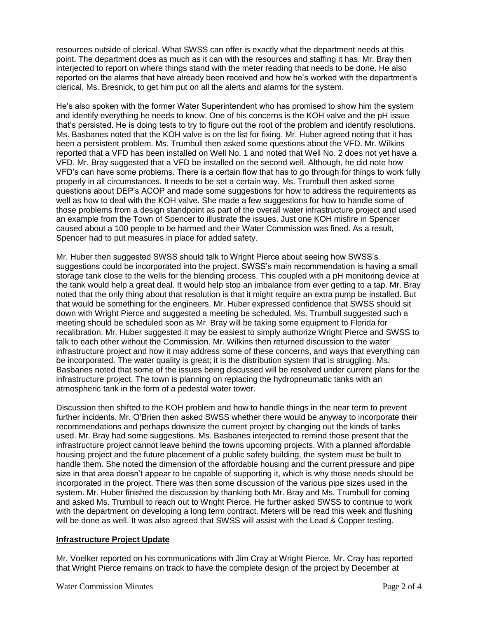resources outside of clerical. What SWSS can offer is exactly what the department needs at this point. The department does as much as it can with the resources and staffing it has. Mr. Bray then interjected to report on where things stand with the meter reading that needs to be done. He also reported on the alarms that have already been received and how he's worked with the department's clerical, Ms. Bresnick, to get him put on all the alerts and alarms for the system.

He's also spoken with the former Water Superintendent who has promised to show him the system and identify everything he needs to know. One of his concerns is the KOH valve and the pH issue that's persisted. He is doing tests to try to figure out the root of the problem and identify resolutions. Ms. Basbanes noted that the KOH valve is on the list for fixing. Mr. Huber agreed noting that it has been a persistent problem. Ms. Trumbull then asked some questions about the VFD. Mr. Wilkins reported that a VFD has been installed on Well No. 1 and noted that Well No. 2 does not yet have a VFD. Mr. Bray suggested that a VFD be installed on the second well. Although, he did note how VFD's can have some problems. There is a certain flow that has to go through for things to work fully properly in all circumstances. It needs to be set a certain way. Ms. Trumbull then asked some questions about DEP's ACOP and made some suggestions for how to address the requirements as well as how to deal with the KOH valve. She made a few suggestions for how to handle some of those problems from a design standpoint as part of the overall water infrastructure project and used an example from the Town of Spencer to illustrate the issues. Just one KOH misfire in Spencer caused about a 100 people to be harmed and their Water Commission was fined. As a result, Spencer had to put measures in place for added safety.

Mr. Huber then suggested SWSS should talk to Wright Pierce about seeing how SWSS's suggestions could be incorporated into the project. SWSS's main recommendation is having a small storage tank close to the wells for the blending process. This coupled with a pH monitoring device at the tank would help a great deal. It would help stop an imbalance from ever getting to a tap. Mr. Bray noted that the only thing about that resolution is that it might require an extra pump be installed. But that would be something for the engineers. Mr. Huber expressed confidence that SWSS should sit down with Wright Pierce and suggested a meeting be scheduled. Ms. Trumbull suggested such a meeting should be scheduled soon as Mr. Bray will be taking some equipment to Florida for recalibration. Mr. Huber suggested it may be easiest to simply authorize Wright Pierce and SWSS to talk to each other without the Commission. Mr. Wilkins then returned discussion to the water infrastructure project and how it may address some of these concerns, and ways that everything can be incorporated. The water quality is great; it is the distribution system that is struggling. Ms. Basbanes noted that some of the issues being discussed will be resolved under current plans for the infrastructure project. The town is planning on replacing the hydropneumatic tanks with an atmospheric tank in the form of a pedestal water tower.

Discussion then shifted to the KOH problem and how to handle things in the near term to prevent further incidents. Mr. O'Brien then asked SWSS whether there would be anyway to incorporate their recommendations and perhaps downsize the current project by changing out the kinds of tanks used. Mr. Bray had some suggestions. Ms. Basbanes interjected to remind those present that the infrastructure project cannot leave behind the towns upcoming projects. With a planned affordable housing project and the future placement of a public safety building, the system must be built to handle them. She noted the dimension of the affordable housing and the current pressure and pipe size in that area doesn't appear to be capable of supporting it, which is why those needs should be incorporated in the project. There was then some discussion of the various pipe sizes used in the system. Mr. Huber finished the discussion by thanking both Mr. Bray and Ms. Trumbull for coming and asked Ms. Trumbull to reach out to Wright Pierce. He further asked SWSS to continue to work with the department on developing a long term contract. Meters will be read this week and flushing will be done as well. It was also agreed that SWSS will assist with the Lead & Copper testing.

### **Infrastructure Project Update**

Mr. Voelker reported on his communications with Jim Cray at Wright Pierce. Mr. Cray has reported that Wright Pierce remains on track to have the complete design of the project by December at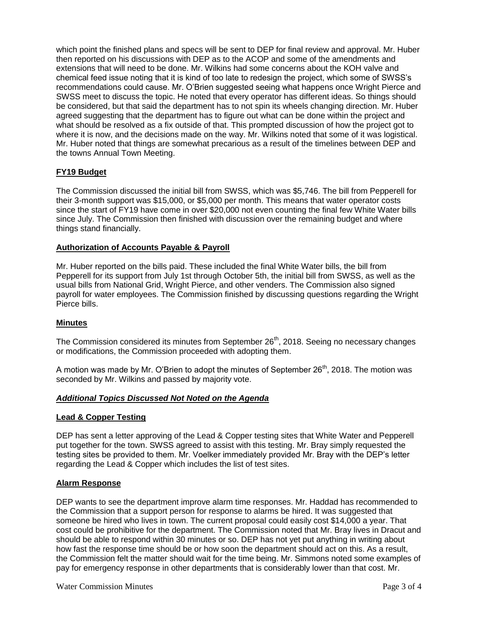which point the finished plans and specs will be sent to DEP for final review and approval. Mr. Huber then reported on his discussions with DEP as to the ACOP and some of the amendments and extensions that will need to be done. Mr. Wilkins had some concerns about the KOH valve and chemical feed issue noting that it is kind of too late to redesign the project, which some of SWSS's recommendations could cause. Mr. O'Brien suggested seeing what happens once Wright Pierce and SWSS meet to discuss the topic. He noted that every operator has different ideas. So things should be considered, but that said the department has to not spin its wheels changing direction. Mr. Huber agreed suggesting that the department has to figure out what can be done within the project and what should be resolved as a fix outside of that. This prompted discussion of how the project got to where it is now, and the decisions made on the way. Mr. Wilkins noted that some of it was logistical. Mr. Huber noted that things are somewhat precarious as a result of the timelines between DEP and the towns Annual Town Meeting.

# **FY19 Budget**

The Commission discussed the initial bill from SWSS, which was \$5,746. The bill from Pepperell for their 3-month support was \$15,000, or \$5,000 per month. This means that water operator costs since the start of FY19 have come in over \$20,000 not even counting the final few White Water bills since July. The Commission then finished with discussion over the remaining budget and where things stand financially.

# **Authorization of Accounts Payable & Payroll**

Mr. Huber reported on the bills paid. These included the final White Water bills, the bill from Pepperell for its support from July 1st through October 5th, the initial bill from SWSS, as well as the usual bills from National Grid, Wright Pierce, and other venders. The Commission also signed payroll for water employees. The Commission finished by discussing questions regarding the Wright Pierce bills.

### **Minutes**

The Commission considered its minutes from September 26<sup>th</sup>, 2018. Seeing no necessary changes or modifications, the Commission proceeded with adopting them.

A motion was made by Mr. O'Brien to adopt the minutes of September  $26<sup>th</sup>$ , 2018. The motion was seconded by Mr. Wilkins and passed by majority vote.

### *Additional Topics Discussed Not Noted on the Agenda*

### **Lead & Copper Testing**

DEP has sent a letter approving of the Lead & Copper testing sites that White Water and Pepperell put together for the town. SWSS agreed to assist with this testing. Mr. Bray simply requested the testing sites be provided to them. Mr. Voelker immediately provided Mr. Bray with the DEP's letter regarding the Lead & Copper which includes the list of test sites.

### **Alarm Response**

DEP wants to see the department improve alarm time responses. Mr. Haddad has recommended to the Commission that a support person for response to alarms be hired. It was suggested that someone be hired who lives in town. The current proposal could easily cost \$14,000 a year. That cost could be prohibitive for the department. The Commission noted that Mr. Bray lives in Dracut and should be able to respond within 30 minutes or so. DEP has not yet put anything in writing about how fast the response time should be or how soon the department should act on this. As a result, the Commission felt the matter should wait for the time being. Mr. Simmons noted some examples of pay for emergency response in other departments that is considerably lower than that cost. Mr.